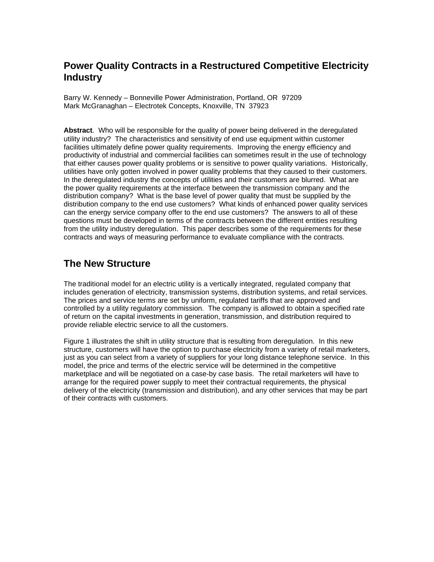# **Power Quality Contracts in a Restructured Competitive Electricity Industry**

Barry W. Kennedy – Bonneville Power Administration, Portland, OR 97209 Mark McGranaghan – Electrotek Concepts, Knoxville, TN 37923

**Abstract**. Who will be responsible for the quality of power being delivered in the deregulated utility industry? The characteristics and sensitivity of end use equipment within customer facilities ultimately define power quality requirements. Improving the energy efficiency and productivity of industrial and commercial facilities can sometimes result in the use of technology that either causes power quality problems or is sensitive to power quality variations. Historically, utilities have only gotten involved in power quality problems that they caused to their customers. In the deregulated industry the concepts of utilities and their customers are blurred. What are the power quality requirements at the interface between the transmission company and the distribution company? What is the base level of power quality that must be supplied by the distribution company to the end use customers? What kinds of enhanced power quality services can the energy service company offer to the end use customers? The answers to all of these questions must be developed in terms of the contracts between the different entities resulting from the utility industry deregulation. This paper describes some of the requirements for these contracts and ways of measuring performance to evaluate compliance with the contracts.

# **The New Structure**

The traditional model for an electric utility is a vertically integrated, regulated company that includes generation of electricity, transmission systems, distribution systems, and retail services. The prices and service terms are set by uniform, regulated tariffs that are approved and controlled by a utility regulatory commission. The company is allowed to obtain a specified rate of return on the capital investments in generation, transmission, and distribution required to provide reliable electric service to all the customers.

Figure 1 illustrates the shift in utility structure that is resulting from deregulation. In this new structure, customers will have the option to purchase electricity from a variety of retail marketers, just as you can select from a variety of suppliers for your long distance telephone service. In this model, the price and terms of the electric service will be determined in the competitive marketplace and will be negotiated on a case-by case basis. The retail marketers will have to arrange for the required power supply to meet their contractual requirements, the physical delivery of the electricity (transmission and distribution), and any other services that may be part of their contracts with customers.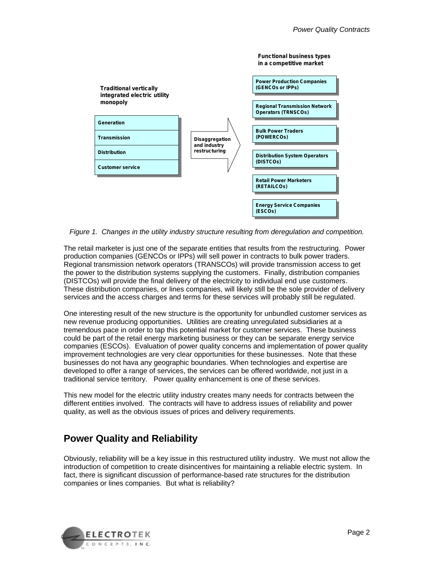**Functional business types**

**Regional Transmission Network Operators (TRNSCOs) Operators (TRNSCOs) Power Production Companies Power Production Companies (GENCOs or IPPs) (GENCOs or IPPs) Bulk Power Traders (POWERCOs) ( ) Distribution System Operators (DISTCOs) (DISTCOs) Retail Power Marketers (RETAILCOs) ( ) Energy Service Companies (ESCOs) (ESCOs) Disaggregation and industry restructuring Generation Transmission Distribution Customer service Traditional vertically integrated electric utility monopoly in a competitive market**

*Figure 1. Changes in the utility industry structure resulting from deregulation and competition.*

The retail marketer is just one of the separate entities that results from the restructuring. Power production companies (GENCOs or IPPs) will sell power in contracts to bulk power traders. Regional transmission network operators (TRANSCOs) will provide transmission access to get the power to the distribution systems supplying the customers. Finally, distribution companies (DISTCOs) will provide the final delivery of the electricity to individual end use customers. These distribution companies, or lines companies, will likely still be the sole provider of delivery services and the access charges and terms for these services will probably still be regulated.

One interesting result of the new structure is the opportunity for unbundled customer services as new revenue producing opportunities. Utilities are creating unregulated subsidiaries at a tremendous pace in order to tap this potential market for customer services. These business could be part of the retail energy marketing business or they can be separate energy service companies (ESCOs). Evaluation of power quality concerns and implementation of power quality improvement technologies are very clear opportunities for these businesses. Note that these businesses do not hava any geographic boundaries. When technologies and expertise are developed to offer a range of services, the services can be offered worldwide, not just in a traditional service territory. Power quality enhancement is one of these services.

This new model for the electric utility industry creates many needs for contracts between the different entities involved. The contracts will have to address issues of reliability and power quality, as well as the obvious issues of prices and delivery requirements.

# **Power Quality and Reliability**

Obviously, reliability will be a key issue in this restructured utility industry. We must not allow the introduction of competition to create disincentives for maintaining a reliable electric system. In fact, there is significant discussion of performance-based rate structures for the distribution companies or lines companies. But what is reliability?

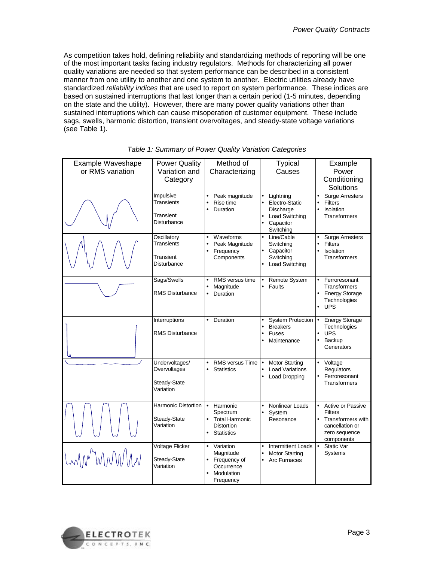As competition takes hold, defining reliability and standardizing methods of reporting will be one of the most important tasks facing industry regulators. Methods for characterizing all power quality variations are needed so that system performance can be described in a consistent manner from one utility to another and one system to another. Electric utilities already have standardized *reliability indices* that are used to report on system performance. These indices are based on sustained interruptions that last longer than a certain period (1-5 minutes, depending on the state and the utility). However, there are many power quality variations other than sustained interruptions which can cause misoperation of customer equipment. These include sags, swells, harmonic distortion, transient overvoltages, and steady-state voltage variations (see Table 1).

| Example Waveshape<br>or RMS variation | <b>Power Quality</b><br>Variation and<br>Category           | Method of<br>Characterizing                                                                                       | <b>Typical</b><br>Causes                                                                                                                        | Example<br>Power<br>Conditioning<br>Solutions                                                                                        |
|---------------------------------------|-------------------------------------------------------------|-------------------------------------------------------------------------------------------------------------------|-------------------------------------------------------------------------------------------------------------------------------------------------|--------------------------------------------------------------------------------------------------------------------------------------|
|                                       | Impulsive<br>Transients<br>Transient<br>Disturbance         | Peak magnitude<br>Rise time<br>Duration                                                                           | Lightning<br>$\bullet$<br>$\bullet$<br>Electro-Static<br>Discharge<br>$\bullet$<br><b>Load Switching</b><br>Capacitor<br>$\bullet$<br>Switching | <b>Surge Arresters</b><br><b>Filters</b><br>$\bullet$<br>Isolation<br>Transformers                                                   |
|                                       | Oscillatory<br>Transients<br>Transient<br>Disturbance       | Waveforms<br>$\bullet$<br>Peak Magnitude<br>Frequency<br>Components                                               | Line/Cable<br>$\bullet$<br>Switching<br>Capacitor<br>Switching<br><b>Load Switching</b><br>$\bullet$                                            | <b>Surge Arresters</b><br><b>Filters</b><br>Isolation<br>$\bullet$<br>Transformers                                                   |
|                                       | Sags/Swells<br><b>RMS Disturbance</b>                       | RMS versus time<br>$\bullet$<br>Magnitude<br>$\bullet$<br>Duration                                                | Remote System<br>$\bullet$<br>$\bullet$<br>Faults                                                                                               | Ferroresonant<br>$\bullet$<br><b>Transformers</b><br><b>Energy Storage</b><br>Technologies<br><b>UPS</b>                             |
|                                       | Interruptions<br><b>RMS Disturbance</b>                     | Duration                                                                                                          | <b>System Protection</b><br>$\bullet$<br><b>Breakers</b><br>$\bullet$<br>$\bullet$<br><b>Fuses</b><br>Maintenance<br>$\bullet$                  | <b>Energy Storage</b><br>$\bullet$<br>Technologies<br><b>UPS</b><br>$\bullet$<br>Backup<br>$\bullet$<br>Generators                   |
|                                       | Undervoltages/<br>Overvoltages<br>Steady-State<br>Variation | RMS versus Time<br>$\bullet$<br><b>Statistics</b>                                                                 | Motor Starting<br>$\bullet$<br>$\bullet$<br><b>Load Variations</b><br>Load Dropping<br>$\bullet$                                                | Voltage<br>Regulators<br>Ferroresonant<br>Transformers                                                                               |
|                                       | <b>Harmonic Distortion</b><br>Steady-State<br>Variation     | Harmonic<br>$\bullet$<br>Spectrum<br><b>Total Harmonic</b><br><b>Distortion</b><br><b>Statistics</b><br>$\bullet$ | Nonlinear Loads<br>$\bullet$<br>$\bullet$<br>System<br>Resonance                                                                                | $\bullet$<br>Active or Passive<br><b>Filters</b><br>Transformers with<br>$\bullet$<br>cancellation or<br>zero sequence<br>components |
| MMMM                                  | Voltage Flicker<br>Steady-State<br>Variation                | Variation<br>Magnitude<br>Frequency of<br>Occurrence<br>Modulation<br>Frequency                                   | <b>Intermittent Loads</b><br>$\bullet$<br>$\bullet$<br><b>Motor Starting</b><br>Arc Furnaces<br>$\bullet$                                       | Static Var<br>$\bullet$<br><b>Systems</b>                                                                                            |

*Table 1: Summary of Power Quality Variation Categories*

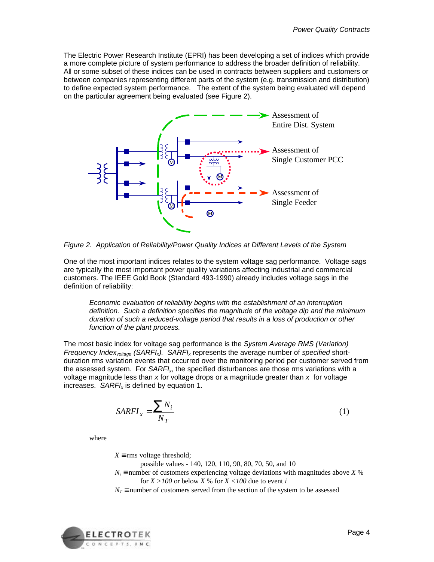The Electric Power Research Institute (EPRI) has been developing a set of indices which provide a more complete picture of system performance to address the broader definition of reliability. All or some subset of these indices can be used in contracts between suppliers and customers or between companies representing different parts of the system (e.g. transmission and distribution) to define expected system performance. The extent of the system being evaluated will depend on the particular agreement being evaluated (see Figure 2).



*Figure 2. Application of Reliability/Power Quality Indices at Different Levels of the System*

One of the most important indices relates to the system voltage sag performance. Voltage sags are typically the most important power quality variations affecting industrial and commercial customers. The IEEE Gold Book (Standard 493-1990) already includes voltage sags in the definition of reliability:

*Economic evaluation of reliability begins with the establishment of an interruption definition. Such a definition specifies the magnitude of the voltage dip and the minimum duration of such a reduced-voltage period that results in a loss of production or other function of the plant process.*

The most basic index for voltage sag performance is the *System Average RMS (Variation) Frequency Indexvoltage (SARFIx). SARFIx* represents the average number of *specified* shortduration rms variation events that occurred over the monitoring period per customer served from the assessed system. For *SARFIx*, the specified disturbances are those rms variations with a voltage magnitude less than *x* for voltage drops or a magnitude greater than *x* for voltage increases. *SARFIx* is defined by equation 1.

$$
SARFI_x = \frac{\sum N_i}{N_T} \tag{1}
$$

where

 $X \equiv$  rms voltage threshold;

possible values - 140, 120, 110, 90, 80, 70, 50, and 10

 $N_i$  ≡ number of customers experiencing voltage deviations with magnitudes above *X* % for  $X > 100$  or below  $X$  % for  $X < 100$  due to event *i* 

 $N_T$  ≡ number of customers served from the section of the system to be assessed

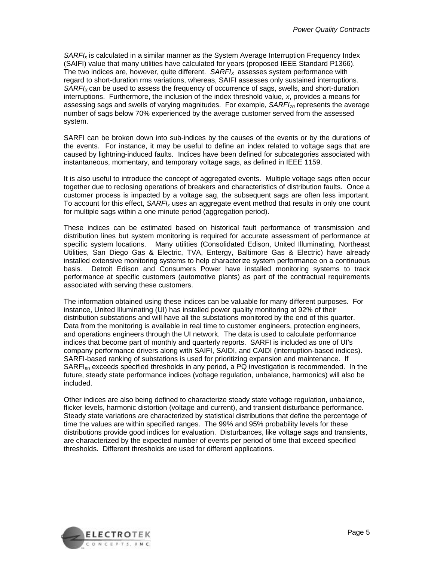*SARFIx* is calculated in a similar manner as the System Average Interruption Frequency Index (SAIFI) value that many utilities have calculated for years (proposed IEEE Standard P1366). The two indices are, however, quite different. *SARFIX* assesses system performance with regard to short-duration rms variations, whereas, SAIFI assesses only sustained interruptions. *SARFI<sup>X</sup>* can be used to assess the frequency of occurrence of sags, swells, and short-duration interruptions. Furthermore, the inclusion of the index threshold value, *x*, provides a means for assessing sags and swells of varying magnitudes. For example, *SARFI70* represents the average number of sags below 70% experienced by the average customer served from the assessed system.

SARFI can be broken down into sub-indices by the causes of the events or by the durations of the events. For instance, it may be useful to define an index related to voltage sags that are caused by lightning-induced faults. Indices have been defined for subcategories associated with instantaneous, momentary, and temporary voltage sags, as defined in IEEE 1159.

It is also useful to introduce the concept of aggregated events. Multiple voltage sags often occur together due to reclosing operations of breakers and characteristics of distribution faults. Once a customer process is impacted by a voltage sag, the subsequent sags are often less important. To account for this effect, *SARFIx* uses an aggregate event method that results in only one count for multiple sags within a one minute period (aggregation period).

These indices can be estimated based on historical fault performance of transmission and distribution lines but system monitoring is required for accurate assessment of performance at specific system locations. Many utilities (Consolidated Edison, United Illuminating, Northeast Utilities, San Diego Gas & Electric, TVA, Entergy, Baltimore Gas & Electric) have already installed extensive monitoring systems to help characterize system performance on a continuous basis. Detroit Edison and Consumers Power have installed monitoring systems to track performance at specific customers (automotive plants) as part of the contractual requirements associated with serving these customers.

The information obtained using these indices can be valuable for many different purposes. For instance, United Illuminating (UI) has installed power quality monitoring at 92% of their distribution substations and will have all the substations monitored by the end of this quarter. Data from the monitoring is available in real time to customer engineers, protection engineers, and operations engineers through the UI network. The data is used to calculate performance indices that become part of monthly and quarterly reports. SARFI is included as one of UI's company performance drivers along with SAIFI, SAIDI, and CAIDI (interruption-based indices). SARFI-based ranking of substations is used for prioritizing expansion and maintenance. If  $SARFI<sub>90</sub>$  exceeds specified thresholds in any period, a PQ investigation is recommended. In the future, steady state performance indices (voltage regulation, unbalance, harmonics) will also be included.

Other indices are also being defined to characterize steady state voltage regulation, unbalance, flicker levels, harmonic distortion (voltage and current), and transient disturbance performance. Steady state variations are characterized by statistical distributions that define the percentage of time the values are within specified ranges. The 99% and 95% probability levels for these distributions provide good indices for evaluation. Disturbances, like voltage sags and transients, are characterized by the expected number of events per period of time that exceed specified thresholds. Different thresholds are used for different applications.

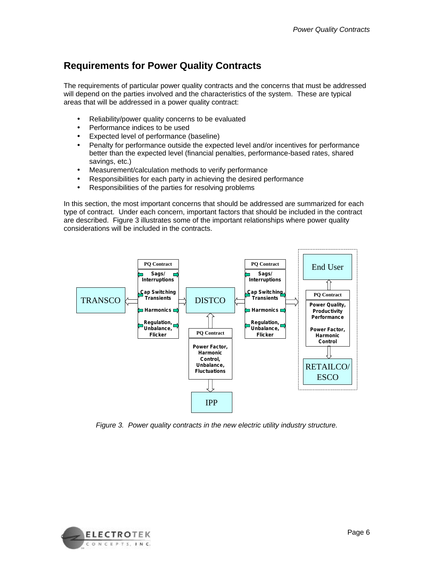# **Requirements for Power Quality Contracts**

The requirements of particular power quality contracts and the concerns that must be addressed will depend on the parties involved and the characteristics of the system. These are typical areas that will be addressed in a power quality contract:

- Reliability/power quality concerns to be evaluated
- Performance indices to be used
- Expected level of performance (baseline)
- Penalty for performance outside the expected level and/or incentives for performance better than the expected level (financial penalties, performance-based rates, shared savings, etc.)
- Measurement/calculation methods to verify performance
- Responsibilities for each party in achieving the desired performance
- Responsibilities of the parties for resolving problems

In this section, the most important concerns that should be addressed are summarized for each type of contract. Under each concern, important factors that should be included in the contract are described. Figure 3 illustrates some of the important relationships where power quality considerations will be included in the contracts.



*Figure 3. Power quality contracts in the new electric utility industry structure.*

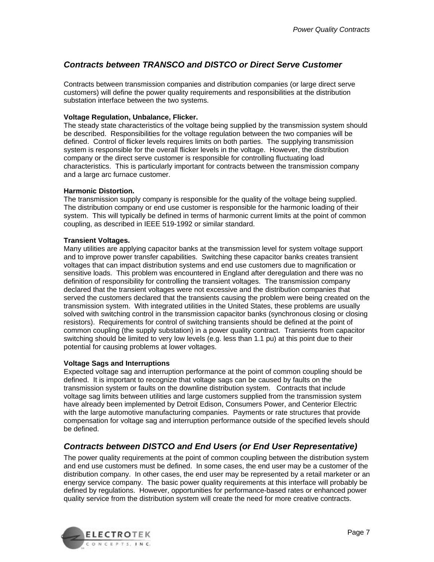## *Contracts between TRANSCO and DISTCO or Direct Serve Customer*

Contracts between transmission companies and distribution companies (or large direct serve customers) will define the power quality requirements and responsibilities at the distribution substation interface between the two systems.

#### **Voltage Regulation, Unbalance, Flicker.**

The steady state characteristics of the voltage being supplied by the transmission system should be described. Responsibilities for the voltage regulation between the two companies will be defined. Control of flicker levels requires limits on both parties. The supplying transmission system is responsible for the overall flicker levels in the voltage. However, the distribution company or the direct serve customer is responsible for controlling fluctuating load characteristics. This is particularly important for contracts between the transmission company and a large arc furnace customer.

#### **Harmonic Distortion.**

The transmission supply company is responsible for the quality of the voltage being supplied. The distribution company or end use customer is responsible for the harmonic loading of their system. This will typically be defined in terms of harmonic current limits at the point of common coupling, as described in IEEE 519-1992 or similar standard.

#### **Transient Voltages.**

Many utilities are applying capacitor banks at the transmission level for system voltage support and to improve power transfer capabilities. Switching these capacitor banks creates transient voltages that can impact distribution systems and end use customers due to magnification or sensitive loads. This problem was encountered in England after deregulation and there was no definition of responsibility for controlling the transient voltages. The transmission company declared that the transient voltages were not excessive and the distribution companies that served the customers declared that the transients causing the problem were being created on the transmission system. With integrated utilities in the United States, these problems are usually solved with switching control in the transmission capacitor banks (synchronous closing or closing resistors). Requirements for control of switching transients should be defined at the point of common coupling (the supply substation) in a power quality contract. Transients from capacitor switching should be limited to very low levels (e.g. less than 1.1 pu) at this point due to their potential for causing problems at lower voltages.

#### **Voltage Sags and Interruptions**

Expected voltage sag and interruption performance at the point of common coupling should be defined. It is important to recognize that voltage sags can be caused by faults on the transmission system or faults on the downline distribution system. Contracts that include voltage sag limits between utilities and large customers supplied from the transmission system have already been implemented by Detroit Edison, Consumers Power, and Centerior Electric with the large automotive manufacturing companies. Payments or rate structures that provide compensation for voltage sag and interruption performance outside of the specified levels should be defined.

### *Contracts between DISTCO and End Users (or End User Representative)*

The power quality requirements at the point of common coupling between the distribution system and end use customers must be defined. In some cases, the end user may be a customer of the distribution company. In other cases, the end user may be represented by a retail marketer or an energy service company. The basic power quality requirements at this interface will probably be defined by regulations. However, opportunities for performance-based rates or enhanced power quality service from the distribution system will create the need for more creative contracts.

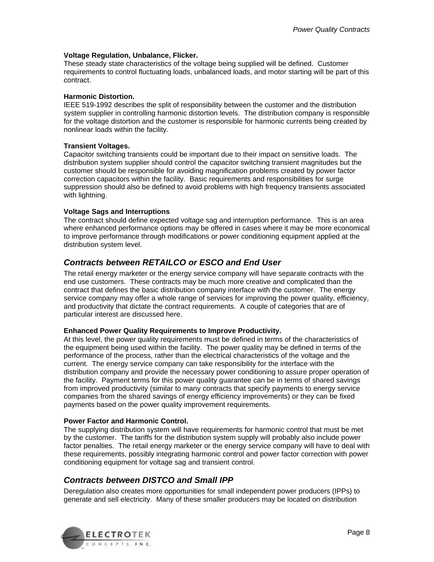#### **Voltage Regulation, Unbalance, Flicker.**

These steady state characteristics of the voltage being supplied will be defined. Customer requirements to control fluctuating loads, unbalanced loads, and motor starting will be part of this contract.

#### **Harmonic Distortion.**

IEEE 519-1992 describes the split of responsibility between the customer and the distribution system supplier in controlling harmonic distortion levels. The distribution company is responsible for the voltage distortion and the customer is responsible for harmonic currents being created by nonlinear loads within the facility.

#### **Transient Voltages.**

Capacitor switching transients could be important due to their impact on sensitive loads. The distribution system supplier should control the capacitor switching transient magnitudes but the customer should be responsible for avoiding magnification problems created by power factor correction capacitors within the facility. Basic requirements and responsibilities for surge suppression should also be defined to avoid problems with high frequency transients associated with lightning.

#### **Voltage Sags and Interruptions**

The contract should define expected voltage sag and interruption performance. This is an area where enhanced performance options may be offered in cases where it may be more economical to improve performance through modifications or power conditioning equipment applied at the distribution system level.

### *Contracts between RETAILCO or ESCO and End User*

The retail energy marketer or the energy service company will have separate contracts with the end use customers. These contracts may be much more creative and complicated than the contract that defines the basic distribution company interface with the customer. The energy service company may offer a whole range of services for improving the power quality, efficiency, and productivity that dictate the contract requirements. A couple of categories that are of particular interest are discussed here.

#### **Enhanced Power Quality Requirements to Improve Productivity.**

At this level, the power quality requirements must be defined in terms of the characteristics of the equipment being used within the facility. The power quality may be defined in terms of the performance of the process, rather than the electrical characteristics of the voltage and the current. The energy service company can take responsibility for the interface with the distribution company and provide the necessary power conditioning to assure proper operation of the facility. Payment terms for this power quality guarantee can be in terms of shared savings from improved productivity (similar to many contracts that specify payments to energy service companies from the shared savings of energy efficiency improvements) or they can be fixed payments based on the power quality improvement requirements.

#### **Power Factor and Harmonic Control.**

The supplying distribution system will have requirements for harmonic control that must be met by the customer. The tariffs for the distribution system supply will probably also include power factor penalties. The retail energy marketer or the energy service company will have to deal with these requirements, possibly integrating harmonic control and power factor correction with power conditioning equipment for voltage sag and transient control.

### *Contracts between DISTCO and Small IPP*

Deregulation also creates more opportunities for small independent power producers (IPPs) to generate and sell electricity. Many of these smaller producers may be located on distribution

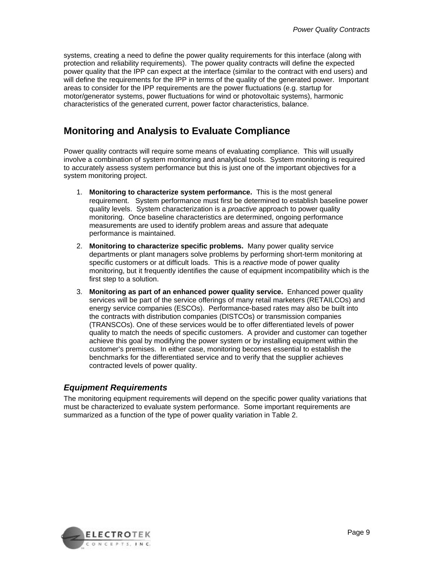systems, creating a need to define the power quality requirements for this interface (along with protection and reliability requirements). The power quality contracts will define the expected power quality that the IPP can expect at the interface (similar to the contract with end users) and will define the requirements for the IPP in terms of the quality of the generated power. Important areas to consider for the IPP requirements are the power fluctuations (e.g. startup for motor/generator systems, power fluctuations for wind or photovoltaic systems), harmonic characteristics of the generated current, power factor characteristics, balance.

# **Monitoring and Analysis to Evaluate Compliance**

Power quality contracts will require some means of evaluating compliance. This will usually involve a combination of system monitoring and analytical tools. System monitoring is required to accurately assess system performance but this is just one of the important objectives for a system monitoring project.

- 1. **Monitoring to characterize system performance.** This is the most general requirement. System performance must first be determined to establish baseline power quality levels. System characterization is a *proactive* approach to power quality monitoring. Once baseline characteristics are determined, ongoing performance measurements are used to identify problem areas and assure that adequate performance is maintained.
- 2. **Monitoring to characterize specific problems.** Many power quality service departments or plant managers solve problems by performing short-term monitoring at specific customers or at difficult loads. This is a *reactive* mode of power quality monitoring, but it frequently identifies the cause of equipment incompatibility which is the first step to a solution.
- 3. **Monitoring as part of an enhanced power quality service.** Enhanced power quality services will be part of the service offerings of many retail marketers (RETAILCOs) and energy service companies (ESCOs). Performance-based rates may also be built into the contracts with distribution companies (DISTCOs) or transmission companies (TRANSCOs). One of these services would be to offer differentiated levels of power quality to match the needs of specific customers. A provider and customer can together achieve this goal by modifying the power system or by installing equipment within the customer's premises. In either case, monitoring becomes essential to establish the benchmarks for the differentiated service and to verify that the supplier achieves contracted levels of power quality.

### *Equipment Requirements*

The monitoring equipment requirements will depend on the specific power quality variations that must be characterized to evaluate system performance. Some important requirements are summarized as a function of the type of power quality variation in Table 2.

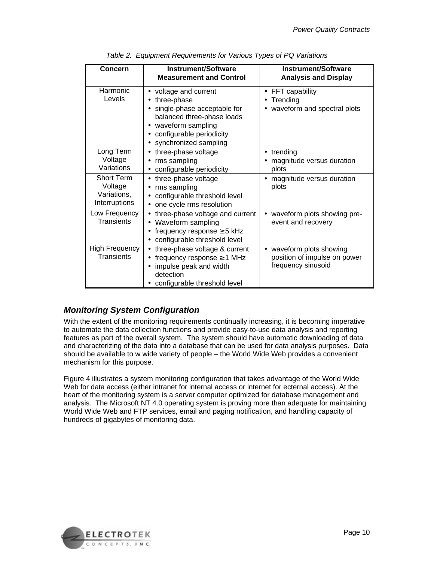| Concern                                                      | <b>Instrument/Software</b><br><b>Measurement and Control</b>                                                                                                                                                     | <b>Instrument/Software</b><br><b>Analysis and Display</b>                                 |  |  |
|--------------------------------------------------------------|------------------------------------------------------------------------------------------------------------------------------------------------------------------------------------------------------------------|-------------------------------------------------------------------------------------------|--|--|
| Harmonic<br>Levels                                           | voltage and current<br>$\bullet$<br>three-phase<br>single-phase acceptable for<br>balanced three-phase loads<br>waveform sampling<br>$\bullet$<br>configurable periodicity<br>synchronized sampling<br>$\bullet$ | FFT capability<br>$\bullet$<br>Trending<br>waveform and spectral plots                    |  |  |
| Long Term<br>Voltage<br>Variations                           | three-phase voltage<br>rms sampling<br>configurable periodicity                                                                                                                                                  | trending<br>$\bullet$<br>magnitude versus duration<br>plots                               |  |  |
| <b>Short Term</b><br>Voltage<br>Variations,<br>Interruptions | three-phase voltage<br>rms sampling<br>configurable threshold level<br>one cycle rms resolution<br>$\bullet$                                                                                                     | magnitude versus duration<br>$\bullet$<br>plots                                           |  |  |
| Low Frequency<br><b>Transients</b>                           | three-phase voltage and current<br>Waveform sampling<br>٠<br>frequency response $\geq$ 5 kHz<br>configurable threshold level<br>$\bullet$                                                                        | waveform plots showing pre-<br>$\bullet$<br>event and recovery                            |  |  |
| <b>High Frequency</b><br><b>Transients</b>                   | three-phase voltage & current<br>frequency response $\geq 1$ MHz<br>impulse peak and width<br>detection<br>configurable threshold level                                                                          | waveform plots showing<br>$\bullet$<br>position of impulse on power<br>frequency sinusoid |  |  |

| Table 2. Equipment Requirements for Various Types of PQ Variations |  |  |
|--------------------------------------------------------------------|--|--|
|                                                                    |  |  |

## *Monitoring System Configuration*

With the extent of the monitoring requirements continually increasing, it is becoming imperative to automate the data collection functions and provide easy-to-use data analysis and reporting features as part of the overall system. The system should have automatic downloading of data and characterizing of the data into a database that can be used for data analysis purposes. Data should be available to w wide variety of people – the World Wide Web provides a convenient mechanism for this purpose.

Figure 4 illustrates a system monitoring configuration that takes advantage of the World Wide Web for data access (either intranet for internal access or internet for ecternal access). At the heart of the monitoring system is a server computer optimized for database management and analysis. The Microsoft NT 4.0 operating system is proving more than adequate for maintaining World Wide Web and FTP services, email and paging notification, and handling capacity of hundreds of gigabytes of monitoring data.

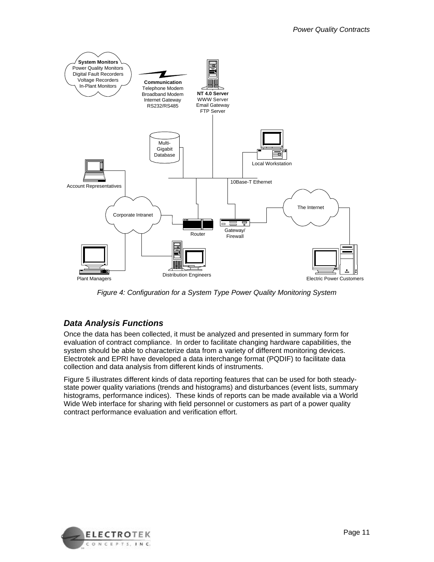

*Figure 4: Configuration for a System Type Power Quality Monitoring System*

## *Data Analysis Functions*

Once the data has been collected, it must be analyzed and presented in summary form for evaluation of contract compliance. In order to facilitate changing hardware capabilities, the system should be able to characterize data from a variety of different monitoring devices. Electrotek and EPRI have developed a data interchange format (PQDIF) to facilitate data collection and data analysis from different kinds of instruments.

Figure 5 illustrates different kinds of data reporting features that can be used for both steadystate power quality variations (trends and histograms) and disturbances (event lists, summary histograms, performance indices). These kinds of reports can be made available via a World Wide Web interface for sharing with field personnel or customers as part of a power quality contract performance evaluation and verification effort.

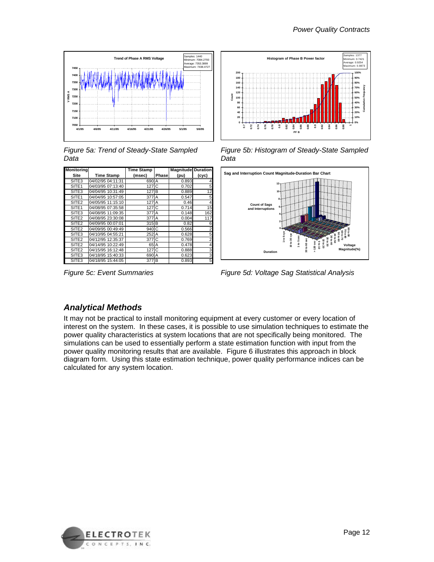



| <b>Monitoring</b> |                   | <b>Time Stamp</b>  |       | <b>Magnitude Duration</b> |                         |
|-------------------|-------------------|--------------------|-------|---------------------------|-------------------------|
| Site              | <b>Time Stamp</b> | (msec)             | Phase | (pu)                      | (cyc)                   |
| SITE3             | 04/02/95 04:11:31 | 690 A              |       | 0.893                     | 4                       |
| SITE <sub>1</sub> | 04/03/95 07:13:40 | 127                | C     | 0.702                     | 5                       |
| SITE3             | 04/04/95 10:31:49 | 127                | B     | 0.889                     | 12                      |
| SITE <sub>1</sub> | 04/04/95 10:57:05 | 377 A              |       | 0.547                     | 5                       |
| SITE <sub>2</sub> | 04/05/95 11:15:10 | 127 A              |       | 0.46                      | 4                       |
| SITE <sub>1</sub> | 04/08/95 07:35:58 | 127 <sub>C</sub>   |       | 0.714                     | 15                      |
| SITE3             | 04/08/95 11:09:35 | 377 A              |       | 0.148                     | 162                     |
| SITE <sub>2</sub> | 04/08/95 23:30:08 | 377 A              |       | 0.004                     | 117                     |
| SITE <sub>2</sub> | 04/09/95 00:07:01 | $315$ <sub>B</sub> |       | 0.82                      | 6                       |
| SITE <sub>2</sub> | 04/09/95 00:49:49 | 940 <sub>C</sub>   |       | 0.566                     | $\overline{2}$          |
| SITE3             | 04/10/95 04:55:21 | 252 A              |       | 0.628                     | 5                       |
| SITE <sub>2</sub> | 04/12/95 12:35:37 | 377 C              |       | 0.769                     | $\overline{\mathbf{c}}$ |
| SITE <sub>2</sub> | 04/14/95 10:22:49 | 65 A               |       | 0.478                     | 4                       |
| SITE <sub>2</sub> | 04/15/95 16:12:48 | 127                | C     | 0.888                     | 3                       |
| SITE3             | 04/18/95 15:40:33 | 690 A              |       | 0.623                     | 3                       |
| SITE3             | 04/18/95 15:44:05 | 377 <sub>B</sub>   |       | 0.893                     | 5                       |



*Figure 5b: Histogram of Steady-State Sampled Data*



*Figure 5c: Event Summaries Figure 5d: Voltage Sag Statistical Analysis*

## *Analytical Methods*

It may not be practical to install monitoring equipment at every customer or every location of interest on the system. In these cases, it is possible to use simulation techniques to estimate the power quality characteristics at system locations that are not specifically being monitored. The simulations can be used to essentially perform a state estimation function with input from the power quality monitoring results that are available. Figure 6 illustrates this approach in block diagram form. Using this state estimation technique, power quality performance indices can be calculated for any system location.